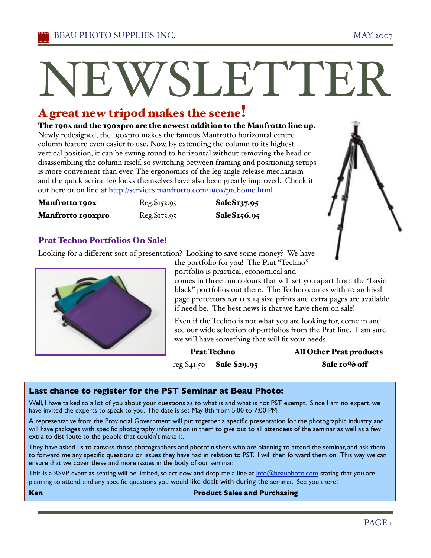# NEWSLETTER

# A great new tripod makes the scene!

The 190x and the 190xpro are the newest addition to the Manfrotto line up. Newly redesigned, the 190xpro makes the famous Manfrotto horizontal centre column feature even easier to use. Now, by extending the column to its highest vertical position, it can be swung round to horizontal without removing the head or disassembling the column itself, so switching between framing and positioning setups is more convenient than ever. The ergonomics of the leg angle release mechanism and the quick action leg locks themselves have also been greatly improved. Check it out here or on line at http://services.manfrotto.com/190x/prehome.html

| Manfrotto 190x           | Reg. \$152.95 | Sale\$137.95 |
|--------------------------|---------------|--------------|
| <b>Manfrotto 190xpro</b> | Reg.\$173.95  | Sale\$156.95 |



Looking for a different sort of presentation? Looking to save some money? We have



the portfolio for you! The Prat "Techno" portfolio is practical, economical and

comes in three fun colours that will set you apart from the "basic black" portfolios out there. The Techno comes with 10 archival page protectors for 11 x 14 size prints and extra pages are available if need be. The best news is that we have them on sale!

Even if the Techno is not what you are looking for, come in and see our wide selection of portfolios from the Prat line. I am sure we will have something that will fit your needs.

Prat Techno All Other Prat products reg \$41.50 Sale \$29.95 Sale 10% off

# **Last chance to register for the PST Seminar at Beau Photo:**

Well, I have talked to a lot of you about your questions as to what is and what is not PST exempt. Since I am no expert, we have invited the experts to speak to you. The date is set May 8th from 5:00 to 7:00 PM.

A representative from the Provincial Government will put together a specific presentation for the photographic industry and will have packages with specific photography information in them to give out to all attendees of the seminar as well as a few extra to distribute to the people that couldn't make it.

They have asked us to canvass those photographers and photofinishers who are planning to attend the seminar, and ask them to forward me any specific questions or issues they have had in relation to PST. I will then forward them on. This way we can ensure that we cover these and more issues in the body of our seminar.

This is a RSVP event as seating will be limited, so act now and drop me a line at info@beauphoto.com stating that you are planning to attend, and any specific questions you would like dealt with during the seminar. See you there!

### **Ken Product Sales and Purchasing**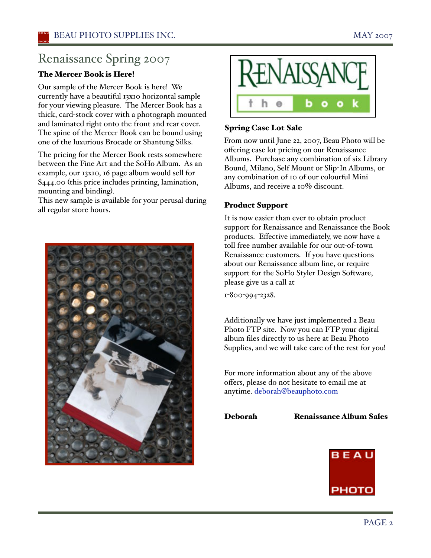# Renaissance Spring 2007

# The Mercer Book is Here!

Our sample of the Mercer Book is here! We currently have a beautiful 13x10 horizontal sample for your viewing pleasure. The Mercer Book has a thick, card-stock cover with a photograph mounted and laminated right onto the front and rear cover. The spine of the Mercer Book can be bound using one of the luxurious Brocade or Shantung Silks.

The pricing for the Mercer Book rests somewhere between the Fine Art and the SoHo Album. As an example, our 13x10, 16 page album would sell for \$444.00 (this price includes printing, lamination, mounting and binding).

This new sample is available for your perusal during all regular store hours.





# Spring Case Lot Sale

From now until June 22, 2007, Beau Photo will be offering case lot pricing on our Renaissance Albums. Purchase any combination of six Library Bound, Milano, Self Mount or Slip-In Albums, or any combination of 10 of our colourful Mini Albums, and receive a 10% discount.

# Product Support

It is now easier than ever to obtain product support for Renaissance and Renaissance the Book products. Effective immediately, we now have a toll free number available for our out-of-town Renaissance customers. If you have questions about our Renaissance album line, or require support for the SoHo Styler Design Software, please give us a call at

1-800-994-2328.

Additionally we have just implemented a Beau Photo FTP site. Now you can FTP your digital album files directly to us here at Beau Photo Supplies, and we will take care of the rest for you!

For more information about any of the above offers, please do not hesitate to email me at anytime. deborah@beauphoto.com

Deborah Renaissance Album Sales

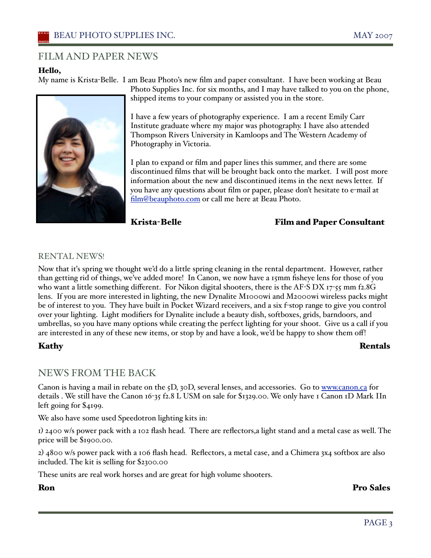# FILM AND PAPER NEWS

# Hello,

My name is Krista-Belle. I am Beau Photo's new film and paper consultant. I have been working at Beau



Photo Supplies Inc. for six months, and I may have talked to you on the phone, shipped items to your company or assisted you in the store.

I have a few years of photography experience. I am a recent Emily Carr Institute graduate where my major was photography. I have also attended Thompson Rivers University in Kamloops and The Western Academy of Photography in Victoria.

I plan to expand or film and paper lines this summer, and there are some discontinued films that will be brought back onto the market. I will post more information about the new and discontinued items in the next news letter. If you have any questions about film or paper, please don't hesitate to e-mail at film@beauphoto.com or call me here at Beau Photo.

# Krista-Belle Film and Paper Consultant

# RENTAL NEWS!

Now that iťs spring we thought we'd do a little spring cleaning in the rental department. However, rather than getting rid of things, we've added more! In Canon, we now have a 15mm fisheye lens for those of you who want a little something different. For Nikon digital shooters, there is the AF-S DX 17-55 mm f2.8G lens. If you are more interested in lighting, the new Dynalite M1000wi and M2000wi wireless packs might be of interest to you. They have built in Pocket Wizard receivers, and a six f-stop range to give you control over your lighting. Light modifiers for Dynalite include a beauty dish, softboxes, grids, barndoors, and umbrellas, so you have many options while creating the perfect lighting for your shoot. Give us a call if you are interested in any of these new items, or stop by and have a look, we'd be happy to show them off!

# Kathy Rentals

# NEWS FROM THE BACK

Canon is having a mail in rebate on the 5D, 30D, several lenses, and accessories. Go to www.canon.ca for details . We still have the Canon 16-35 f2.8 L USM on sale for \$1329.00. We only have 1 Canon 1D Mark IIn left going for \$4199.

We also have some used Speedotron lighting kits in:

1) 2400 w/s power pack with a 102 flash head. There are reflectors,a light stand and a metal case as well. The price will be \$1900.00.

2) 4800 w/s power pack with a 106 flash head. Reflectors, a metal case, and a Chimera 3x4 softbox are also included. The kit is selling for \$2300.00

These units are real work horses and are great for high volume shooters.

Ron Pro Sales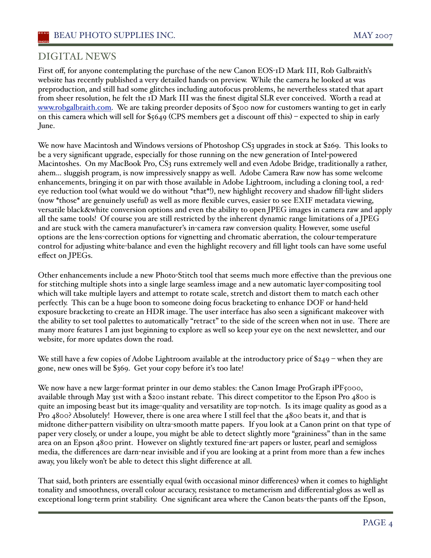# DIGITAL NEWS

First off, for anyone contemplating the purchase of the new Canon EOS-1D Mark III, Rob Galbraith's website has recently published a very detailed hands-on preview. While the camera he looked at was preproduction, and still had some glitches including autofocus problems, he nevertheless stated that apart from sheer resolution, he felt the 1D Mark III was the finest digital SLR ever conceived. Worth a read at www.robgalbraith.com. We are taking preorder deposits of \$500 now for customers wanting to get in early on this camera which will sell for \$5649 (CPS members get a discount off this) – expected to ship in early June.

We now have Macintosh and Windows versions of Photoshop CS3 upgrades in stock at \$269. This looks to be a very significant upgrade, especially for those running on the new generation of Intel-powered Macintoshes. On my MacBook Pro, CS3 runs extremely well and even Adobe Bridge, traditionally a rather, ahem… sluggish program, is now impressively snappy as well. Adobe Camera Raw now has some welcome enhancements, bringing it on par with those available in Adobe Lightroom, including a cloning tool, a redeye reduction tool (what would we do without \*that\*!), new highlight recovery and shadow fill-light sliders (now \*those\* are genuinely useful) as well as more flexible curves, easier to see EXIF metadata viewing, versatile black&white conversion options and even the ability to open JPEG images in camera raw and apply all the same tools! Of course you are still restricted by the inherent dynamic range limitations of a JPEG and are stuck with the camera manufacturer's in-camera raw conversion quality. However, some useful options are the lens-correction options for vignetting and chromatic aberration, the colour-temperature control for adjusting white-balance and even the highlight recovery and fill light tools can have some useful effect on JPEGs.

Other enhancements include a new Photo-Stitch tool that seems much more effective than the previous one for stitching multiple shots into a single large seamless image and a new automatic layer-compositing tool which will take multiple layers and attempt to rotate scale, stretch and distort them to match each other perfectly. This can be a huge boon to someone doing focus bracketing to enhance DOF or hand-held exposure bracketing to create an HDR image. The user interface has also seen a significant makeover with the ability to set tool palettes to automatically "retract" to the side of the screen when not in use. There are many more features I am just beginning to explore as well so keep your eye on the next newsletter, and our website, for more updates down the road.

We still have a few copies of Adobe Lightroom available at the introductory price of \$249 – when they are gone, new ones will be \$369. Get your copy before iťs too late!

We now have a new large-format printer in our demo stables: the Canon Image ProGraph iPF5000, available through May 31st with a \$200 instant rebate. This direct competitor to the Epson Pro 4800 is quite an imposing beast but its image-quality and versatility are top-notch. Is its image quality as good as a Pro 4800? Absolutely! However, there is one area where I still feel that the 4800 beats it, and that is midtone dither-pattern visibility on ultra-smooth matte papers. If you look at a Canon print on that type of paper very closely, or under a loupe, you might be able to detect slightly more "graininess" than in the same area on an Epson 4800 print. However on slightly textured fine-art papers or luster, pearl and semigloss media, the differences are darn-near invisible and if you are looking at a print from more than a few inches away, you likely won't be able to detect this slight difference at all.

That said, both printers are essentially equal (with occasional minor differences) when it comes to highlight tonality and smoothness, overall colour accuracy, resistance to metamerism and differential-gloss as well as exceptional long-term print stability. One significant area where the Canon beats-the-pants off the Epson,